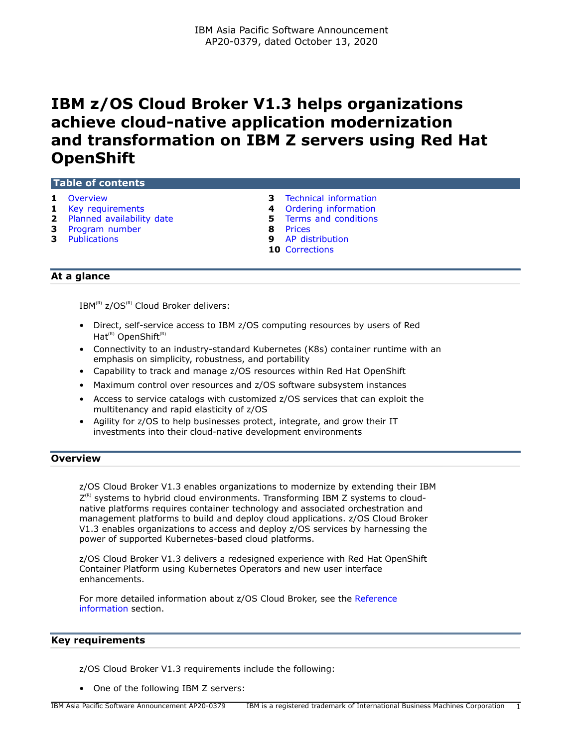# **IBM z/OS Cloud Broker V1.3 helps organizations achieve cloud-native application modernization and transformation on IBM Z servers using Red Hat OpenShift**

## **Table of contents**

- 
- 
- **2** [Planned availability date](#page-1-0) **5 5** [Terms and conditions](#page-4-0) **3** Program number
- **3** [Program number](#page-2-1)
- 
- **1** [Overview](#page-0-0) **1 1 Example 1 8 3 3 Conducted information 1 Example 2 4 4 Ordering information** 
	- **4** [Ordering information](#page-3-0)
		-
		-
- **3** [Publications](#page-2-2) **9** [AP distribution](#page-8-0)
	- **10** [Corrections](#page-9-0)

## **At a glance**

 $IBM^{(R)}$  z/OS<sup>(R)</sup> Cloud Broker delivers:

- Direct, self-service access to IBM z/OS computing resources by users of Red Hat $(R)$  OpenShift $(R)$
- Connectivity to an industry-standard Kubernetes (K8s) container runtime with an emphasis on simplicity, robustness, and portability
- Capability to track and manage z/OS resources within Red Hat OpenShift
- Maximum control over resources and z/OS software subsystem instances
- Access to service catalogs with customized z/OS services that can exploit the multitenancy and rapid elasticity of z/OS
- Agility for z/OS to help businesses protect, integrate, and grow their IT investments into their cloud-native development environments

## <span id="page-0-0"></span>**Overview**

z/OS Cloud Broker V1.3 enables organizations to modernize by extending their IBM  $Z^{(R)}$  systems to hybrid cloud environments. Transforming IBM Z systems to cloudnative platforms requires container technology and associated orchestration and management platforms to build and deploy cloud applications. z/OS Cloud Broker V1.3 enables organizations to access and deploy z/OS services by harnessing the power of supported Kubernetes-based cloud platforms.

z/OS Cloud Broker V1.3 delivers a redesigned experience with Red Hat OpenShift Container Platform using Kubernetes Operators and new user interface enhancements.

For more detailed information about z/OS Cloud Broker, see the [Reference](#page-1-1) [information](#page-1-1) section.

#### <span id="page-0-1"></span>**Key requirements**

z/OS Cloud Broker V1.3 requirements include the following:

• One of the following IBM Z servers: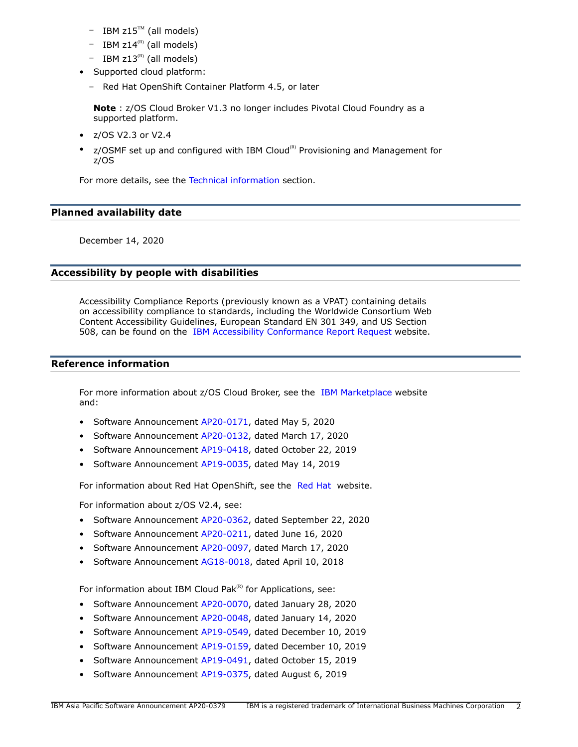- $-$  IBM z15<sup>TM</sup> (all models)
- IBM  $z14^{(R)}$  (all models)
- $-$  IBM z13<sup>(R)</sup> (all models)
- Supported cloud platform:
	- Red Hat OpenShift Container Platform 4.5, or later

**Note** : z/OS Cloud Broker V1.3 no longer includes Pivotal Cloud Foundry as a supported platform.

- z/OS V2.3 or V2.4
- $z$ /OSMF set up and configured with IBM Cloud<sup>(R)</sup> Provisioning and Management for z/OS

For more details, see the [Technical information](#page-2-0) section.

## <span id="page-1-0"></span>**Planned availability date**

December 14, 2020

## **Accessibility by people with disabilities**

Accessibility Compliance Reports (previously known as a VPAT) containing details on accessibility compliance to standards, including the Worldwide Consortium Web Content Accessibility Guidelines, European Standard EN 301 349, and US Section 508, can be found on the [IBM Accessibility Conformance Report Request](https://able.ibm.com/request/) website.

## <span id="page-1-1"></span>**Reference information**

For more information about z/OS Cloud Broker, see the [IBM Marketplace](https://www.ibm.com/us-en/marketplace/zos-cloud-broker) website and:

- Software Announcement [AP20-0171](http://www.ibm.com/common/ssi/cgi-bin/ssialias?infotype=an&subtype=ca&appname=gpateam&supplier=872&letternum=ENUSAP20-0171), dated May 5, 2020
- Software Announcement [AP20-0132](http://www.ibm.com/common/ssi/cgi-bin/ssialias?infotype=an&subtype=ca&appname=gpateam&supplier=872&letternum=ENUSAP20-0132), dated March 17, 2020
- Software Announcement [AP19-0418](http://www.ibm.com/common/ssi/cgi-bin/ssialias?infotype=an&subtype=ca&appname=gpateam&supplier=872&letternum=ENUSAP19-0418), dated October 22, 2019
- Software Announcement [AP19-0035](http://www.ibm.com/common/ssi/cgi-bin/ssialias?infotype=an&subtype=ca&appname=gpateam&supplier=872&letternum=ENUSAP19-0035), dated May 14, 2019

For information about [Red Hat](https://www.redhat.com/en/technologies/cloud-computing/openshift) OpenShift, see the Red Hat website.

For information about z/OS V2.4, see:

- Software Announcement [AP20-0362](http://www.ibm.com/common/ssi/cgi-bin/ssialias?infotype=an&subtype=ca&appname=gpateam&supplier=872&letternum=ENUSAP20-0362), dated September 22, 2020
- Software Announcement [AP20-0211](http://www.ibm.com/common/ssi/cgi-bin/ssialias?infotype=an&subtype=ca&appname=gpateam&supplier=872&letternum=ENUSAP20-0211), dated June 16, 2020
- Software Announcement [AP20-0097](http://www.ibm.com/common/ssi/cgi-bin/ssialias?infotype=an&subtype=ca&appname=gpateam&supplier=872&letternum=ENUSAP20-0097), dated March 17, 2020
- Software Announcement [AG18-0018,](http://www.ibm.com/common/ssi/cgi-bin/ssialias?infotype=an&subtype=ca&appname=gpateam&supplier=872&letternum=ENUSAG18-0018) dated April 10, 2018

For information about IBM Cloud Pak $(k)$  for Applications, see:

- Software Announcement [AP20-0070](http://www.ibm.com/common/ssi/cgi-bin/ssialias?infotype=an&subtype=ca&appname=gpateam&supplier=872&letternum=ENUSAP20-0070), dated January 28, 2020
- Software Announcement [AP20-0048](http://www.ibm.com/common/ssi/cgi-bin/ssialias?infotype=an&subtype=ca&appname=gpateam&supplier=872&letternum=ENUSAP20-0048), dated January 14, 2020
- Software Announcement [AP19-0549](http://www.ibm.com/common/ssi/cgi-bin/ssialias?infotype=an&subtype=ca&appname=gpateam&supplier=872&letternum=ENUSAP19-0549), dated December 10, 2019
- Software Announcement [AP19-0159](http://www.ibm.com/common/ssi/cgi-bin/ssialias?infotype=an&subtype=ca&appname=gpateam&supplier=872&letternum=ENUSAP19-0159), dated December 10, 2019
- Software Announcement [AP19-0491](http://www.ibm.com/common/ssi/cgi-bin/ssialias?infotype=an&subtype=ca&appname=gpateam&supplier=872&letternum=ENUSAP19-0491), dated October 15, 2019
- Software Announcement [AP19-0375](http://www.ibm.com/common/ssi/cgi-bin/ssialias?infotype=an&subtype=ca&appname=gpateam&supplier=872&letternum=ENUSAP19-0375), dated August 6, 2019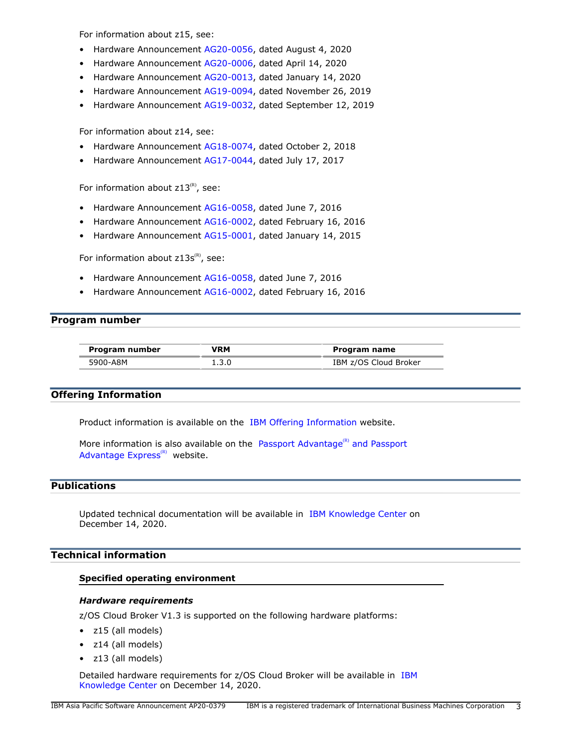For information about z15, see:

- Hardware Announcement [AG20-0056](http://www.ibm.com/common/ssi/cgi-bin/ssialias?infotype=an&subtype=ca&appname=gpateam&supplier=872&letternum=ENUSAG20-0056), dated August 4, 2020
- Hardware Announcement [AG20-0006](http://www.ibm.com/common/ssi/cgi-bin/ssialias?infotype=an&subtype=ca&appname=gpateam&supplier=872&letternum=ENUSAG20-0006), dated April 14, 2020
- Hardware Announcement [AG20-0013](http://www.ibm.com/common/ssi/cgi-bin/ssialias?infotype=an&subtype=ca&appname=gpateam&supplier=872&letternum=ENUSAG20-0013), dated January 14, 2020
- Hardware Announcement [AG19-0094](http://www.ibm.com/common/ssi/cgi-bin/ssialias?infotype=an&subtype=ca&appname=gpateam&supplier=872&letternum=ENUSAG19-0094), dated November 26, 2019
- Hardware Announcement [AG19-0032](http://www.ibm.com/common/ssi/cgi-bin/ssialias?infotype=an&subtype=ca&appname=gpateam&supplier=872&letternum=ENUSAG19-0032), dated September 12, 2019

For information about z14, see:

- Hardware Announcement [AG18-0074](http://www.ibm.com/common/ssi/cgi-bin/ssialias?infotype=an&subtype=ca&appname=gpateam&supplier=872&letternum=ENUSAG18-0074), dated October 2, 2018
- Hardware Announcement [AG17-0044](http://www.ibm.com/common/ssi/cgi-bin/ssialias?infotype=an&subtype=ca&appname=gpateam&supplier=872&letternum=ENUSAG17-0044), dated July 17, 2017

For information about  $z13^{(R)}$ , see:

- Hardware Announcement [AG16-0058](http://www.ibm.com/common/ssi/cgi-bin/ssialias?infotype=an&subtype=ca&appname=gpateam&supplier=872&letternum=ENUSAG16-0058), dated June 7, 2016
- Hardware Announcement [AG16-0002](http://www.ibm.com/common/ssi/cgi-bin/ssialias?infotype=an&subtype=ca&appname=gpateam&supplier=872&letternum=ENUSAG16-0002), dated February 16, 2016
- Hardware Announcement [AG15-0001](http://www.ibm.com/common/ssi/cgi-bin/ssialias?infotype=an&subtype=ca&appname=gpateam&supplier=872&letternum=ENUSAG15-0001), dated January 14, 2015

For information about  $z13s^{(R)}$ , see:

- Hardware Announcement [AG16-0058](http://www.ibm.com/common/ssi/cgi-bin/ssialias?infotype=an&subtype=ca&appname=gpateam&supplier=872&letternum=ENUSAG16-0058), dated June 7, 2016
- Hardware Announcement [AG16-0002](http://www.ibm.com/common/ssi/cgi-bin/ssialias?infotype=an&subtype=ca&appname=gpateam&supplier=872&letternum=ENUSAG16-0002), dated February 16, 2016

## <span id="page-2-1"></span>**Program number**

| Program number | VRM   | Program name          |
|----------------|-------|-----------------------|
| 5900-A8M       | 1.3.0 | IBM z/OS Cloud Broker |

## **Offering Information**

Product information is available on the [IBM Offering Information](http://www.ibm.com/common/ssi) website.

More information is also available on the [Passport Advantage](http://www.ibm.com/software/passportadvantage) $R$ ) and Passport [Advantage Express](http://www.ibm.com/software/passportadvantage) $(R)$  website.

#### <span id="page-2-2"></span>**Publications**

Updated technical documentation will be available in [IBM Knowledge Center](https://www.ibm.com/support/knowledgecenter/SS8QRN_1.3.x) on December 14, 2020.

## <span id="page-2-0"></span>**Technical information**

#### **Specified operating environment**

## *Hardware requirements*

z/OS Cloud Broker V1.3 is supported on the following hardware platforms:

- z15 (all models)
- z14 (all models)
- z13 (all models)

Detailed hardware requirements for z/OS Cloud Broker will be available in [IBM](https://www.ibm.com/support/knowledgecenter/en/SS8QRN_1.3.x/) [Knowledge Center](https://www.ibm.com/support/knowledgecenter/en/SS8QRN_1.3.x/) on December 14, 2020.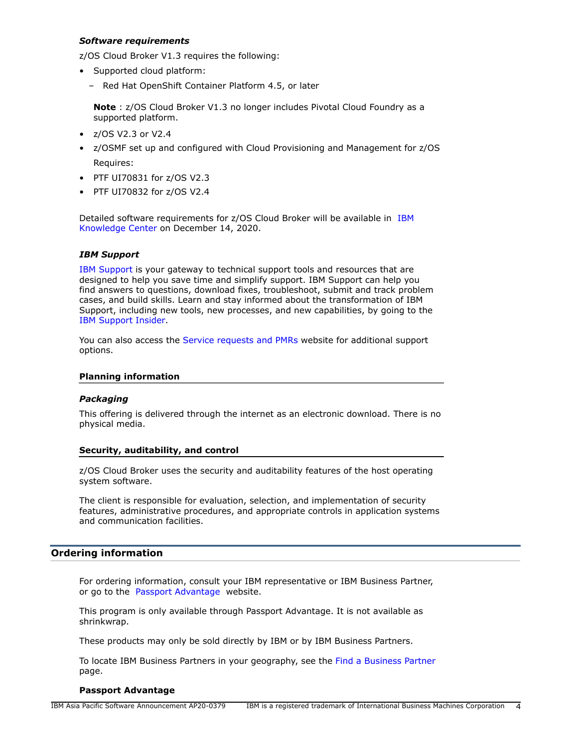### *Software requirements*

z/OS Cloud Broker V1.3 requires the following:

- Supported cloud platform:
	- Red Hat OpenShift Container Platform 4.5, or later

**Note** : z/OS Cloud Broker V1.3 no longer includes Pivotal Cloud Foundry as a supported platform.

- z/OS V2.3 or V2.4
- z/OSMF set up and configured with Cloud Provisioning and Management for z/OS Requires:
- PTF UI70831 for z/OS V2.3
- PTF UI70832 for z/OS V2.4

Detailed software requirements for z/OS Cloud Broker will be available in [IBM](https://www.ibm.com/support/knowledgecenter/en/SS8QRN_1.3.x/) [Knowledge Center](https://www.ibm.com/support/knowledgecenter/en/SS8QRN_1.3.x/) on December 14, 2020.

## *IBM Support*

[IBM Support](https://www.ibm.com/support) is your gateway to technical support tools and resources that are designed to help you save time and simplify support. IBM Support can help you find answers to questions, download fixes, troubleshoot, submit and track problem cases, and build skills. Learn and stay informed about the transformation of IBM Support, including new tools, new processes, and new capabilities, by going to the [IBM Support Insider](https://www.ibm.com/support/insider).

You can also access the [Service requests and PMRs](https://www.ibm.com/support/servicerequest/Home.action) website for additional support options.

#### **Planning information**

#### *Packaging*

This offering is delivered through the internet as an electronic download. There is no physical media.

#### **Security, auditability, and control**

z/OS Cloud Broker uses the security and auditability features of the host operating system software.

The client is responsible for evaluation, selection, and implementation of security features, administrative procedures, and appropriate controls in application systems and communication facilities.

#### <span id="page-3-0"></span>**Ordering information**

For ordering information, consult your IBM representative or IBM Business Partner, or go to the [Passport Advantage](https://www.ibm.com/software/passportadvantage/) website.

This program is only available through Passport Advantage. It is not available as shrinkwrap.

These products may only be sold directly by IBM or by IBM Business Partners.

To locate IBM Business Partners in your geography, see the [Find a Business Partner](http://www.ibm.com/partnerworld/wps/bplocator/) page.

#### **Passport Advantage**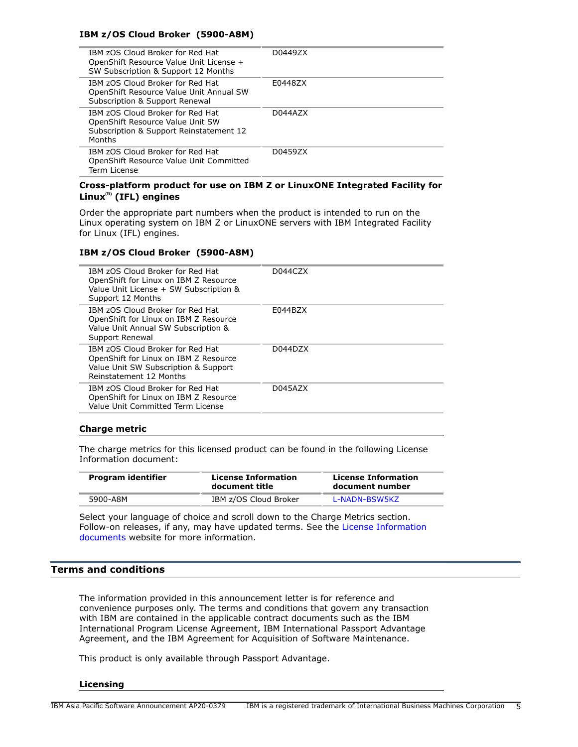## **IBM z/OS Cloud Broker (5900-A8M)**

| IBM zOS Cloud Broker for Red Hat<br>OpenShift Resource Value Unit License +<br>SW Subscription & Support 12 Months        | D04497X |
|---------------------------------------------------------------------------------------------------------------------------|---------|
| IBM zOS Cloud Broker for Red Hat<br>OpenShift Resource Value Unit Annual SW<br>Subscription & Support Renewal             | E0448ZX |
| IBM zOS Cloud Broker for Red Hat<br>OpenShift Resource Value Unit SW<br>Subscription & Support Reinstatement 12<br>Months | D044AZX |
| IBM zOS Cloud Broker for Red Hat<br>OpenShift Resource Value Unit Committed<br>Term License                               | D0459ZX |

## **Cross-platform product for use on IBM Z or LinuxONE Integrated Facility for Linux(R) (IFL) engines**

Order the appropriate part numbers when the product is intended to run on the Linux operating system on IBM Z or LinuxONE servers with IBM Integrated Facility for Linux (IFL) engines.

#### **IBM z/OS Cloud Broker (5900-A8M)**

| IBM zOS Cloud Broker for Red Hat<br>OpenShift for Linux on IBM Z Resource<br>Value Unit License + SW Subscription &<br>Support 12 Months     | D044CZX |
|----------------------------------------------------------------------------------------------------------------------------------------------|---------|
| IBM zOS Cloud Broker for Red Hat<br>OpenShift for Linux on IBM Z Resource<br>Value Unit Annual SW Subscription &<br>Support Renewal          | E044BZX |
| IBM zOS Cloud Broker for Red Hat<br>OpenShift for Linux on IBM Z Resource<br>Value Unit SW Subscription & Support<br>Reinstatement 12 Months | D044D7X |
| IBM zOS Cloud Broker for Red Hat<br>OpenShift for Linux on IBM Z Resource<br>Value Unit Committed Term License                               | D045AZX |
|                                                                                                                                              |         |

#### **Charge metric**

The charge metrics for this licensed product can be found in the following License Information document:

| Program identifier | <b>License Information</b><br>document title | <b>License Information</b><br>document number |  |
|--------------------|----------------------------------------------|-----------------------------------------------|--|
| 5900-A8M           | IBM z/OS Cloud Broker                        | L-NADN-BSW5KZ                                 |  |

Select your language of choice and scroll down to the Charge Metrics section. Follow-on releases, if any, may have updated terms. See the [License Information](https://www.ibm.com/software/sla/sladb.nsf/search?OpenForm) [documents](https://www.ibm.com/software/sla/sladb.nsf/search?OpenForm) website for more information.

## <span id="page-4-0"></span>**Terms and conditions**

The information provided in this announcement letter is for reference and convenience purposes only. The terms and conditions that govern any transaction with IBM are contained in the applicable contract documents such as the IBM International Program License Agreement, IBM International Passport Advantage Agreement, and the IBM Agreement for Acquisition of Software Maintenance.

This product is only available through Passport Advantage.

#### **Licensing**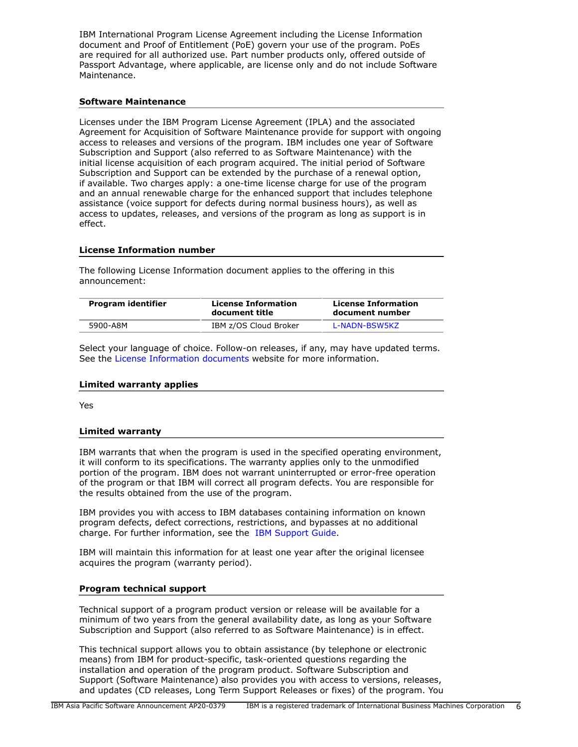IBM International Program License Agreement including the License Information document and Proof of Entitlement (PoE) govern your use of the program. PoEs are required for all authorized use. Part number products only, offered outside of Passport Advantage, where applicable, are license only and do not include Software Maintenance.

#### **Software Maintenance**

Licenses under the IBM Program License Agreement (IPLA) and the associated Agreement for Acquisition of Software Maintenance provide for support with ongoing access to releases and versions of the program. IBM includes one year of Software Subscription and Support (also referred to as Software Maintenance) with the initial license acquisition of each program acquired. The initial period of Software Subscription and Support can be extended by the purchase of a renewal option, if available. Two charges apply: a one-time license charge for use of the program and an annual renewable charge for the enhanced support that includes telephone assistance (voice support for defects during normal business hours), as well as access to updates, releases, and versions of the program as long as support is in effect.

#### **License Information number**

The following License Information document applies to the offering in this announcement:

| Program identifier | <b>License Information</b><br>document title | <b>License Information</b><br>document number |  |
|--------------------|----------------------------------------------|-----------------------------------------------|--|
| 5900-A8M           | IBM z/OS Cloud Broker                        | L-NADN-BSW5KZ                                 |  |

Select your language of choice. Follow-on releases, if any, may have updated terms. See the [License Information documents](https://www.ibm.com/software/sla/sladb.nsf/search?OpenForm) website for more information.

#### **Limited warranty applies**

Yes

#### **Limited warranty**

IBM warrants that when the program is used in the specified operating environment, it will conform to its specifications. The warranty applies only to the unmodified portion of the program. IBM does not warrant uninterrupted or error-free operation of the program or that IBM will correct all program defects. You are responsible for the results obtained from the use of the program.

IBM provides you with access to IBM databases containing information on known program defects, defect corrections, restrictions, and bypasses at no additional charge. For further information, see the [IBM Support Guide](http://www.ibm.com/support/customercare/sas/f/handbook/home.html).

IBM will maintain this information for at least one year after the original licensee acquires the program (warranty period).

#### **Program technical support**

Technical support of a program product version or release will be available for a minimum of two years from the general availability date, as long as your Software Subscription and Support (also referred to as Software Maintenance) is in effect.

This technical support allows you to obtain assistance (by telephone or electronic means) from IBM for product-specific, task-oriented questions regarding the installation and operation of the program product. Software Subscription and Support (Software Maintenance) also provides you with access to versions, releases, and updates (CD releases, Long Term Support Releases or fixes) of the program. You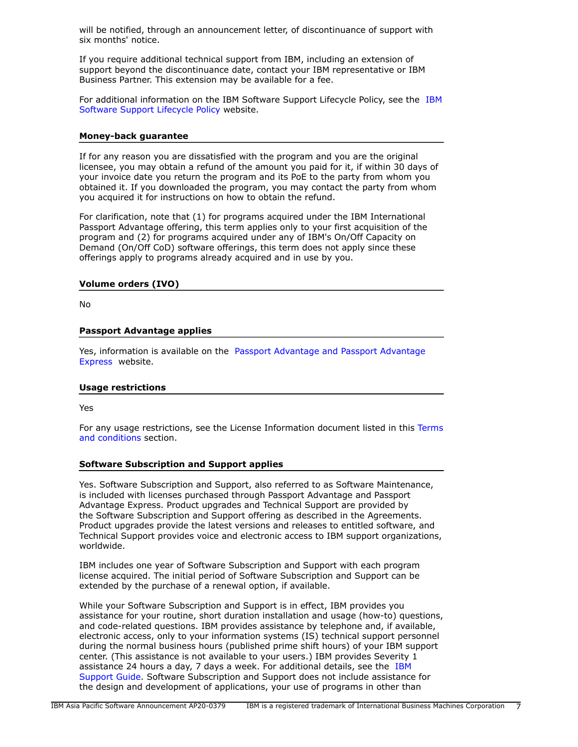will be notified, through an announcement letter, of discontinuance of support with six months' notice.

If you require additional technical support from IBM, including an extension of support beyond the discontinuance date, contact your IBM representative or IBM Business Partner. This extension may be available for a fee.

For additional information on the IBM Software Support Lifecycle Policy, see the [IBM](http://www.ibm.com/software/support/lifecycle/cd-policy.html) [Software Support Lifecycle Policy](http://www.ibm.com/software/support/lifecycle/cd-policy.html) website.

#### **Money-back guarantee**

If for any reason you are dissatisfied with the program and you are the original licensee, you may obtain a refund of the amount you paid for it, if within 30 days of your invoice date you return the program and its PoE to the party from whom you obtained it. If you downloaded the program, you may contact the party from whom you acquired it for instructions on how to obtain the refund.

For clarification, note that (1) for programs acquired under the IBM International Passport Advantage offering, this term applies only to your first acquisition of the program and (2) for programs acquired under any of IBM's On/Off Capacity on Demand (On/Off CoD) software offerings, this term does not apply since these offerings apply to programs already acquired and in use by you.

#### **Volume orders (IVO)**

No

#### **Passport Advantage applies**

Yes, information is available on the [Passport Advantage and Passport Advantage](http://www.ibm.com/software/passportadvantage) [Express](http://www.ibm.com/software/passportadvantage) website.

#### **Usage restrictions**

Yes

For any usage restrictions, see the License Information document listed in this [Terms](#page-4-0) [and conditions](#page-4-0) section.

#### **Software Subscription and Support applies**

Yes. Software Subscription and Support, also referred to as Software Maintenance, is included with licenses purchased through Passport Advantage and Passport Advantage Express. Product upgrades and Technical Support are provided by the Software Subscription and Support offering as described in the Agreements. Product upgrades provide the latest versions and releases to entitled software, and Technical Support provides voice and electronic access to IBM support organizations, worldwide.

IBM includes one year of Software Subscription and Support with each program license acquired. The initial period of Software Subscription and Support can be extended by the purchase of a renewal option, if available.

While your Software Subscription and Support is in effect, IBM provides you assistance for your routine, short duration installation and usage (how-to) questions, and code-related questions. IBM provides assistance by telephone and, if available, electronic access, only to your information systems (IS) technical support personnel during the normal business hours (published prime shift hours) of your IBM support center. (This assistance is not available to your users.) IBM provides Severity 1 assistance 24 hours a day, 7 days a week. For additional details, see the [IBM](http://www.ibm.com/support/customercare/sas/f/handbook/home.html) [Support Guide](http://www.ibm.com/support/customercare/sas/f/handbook/home.html). Software Subscription and Support does not include assistance for the design and development of applications, your use of programs in other than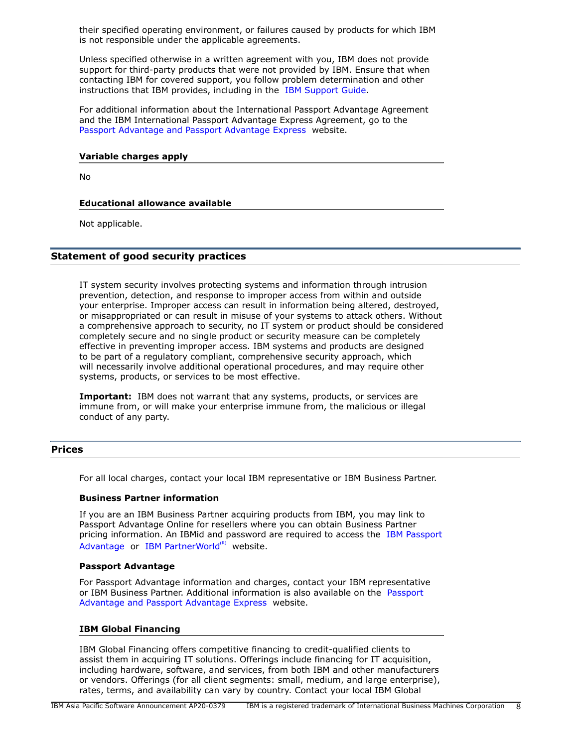their specified operating environment, or failures caused by products for which IBM is not responsible under the applicable agreements.

Unless specified otherwise in a written agreement with you, IBM does not provide support for third-party products that were not provided by IBM. Ensure that when contacting IBM for covered support, you follow problem determination and other instructions that IBM provides, including in the [IBM Support Guide.](http://www.ibm.com/support/customercare/sas/f/handbook/home.html)

For additional information about the International Passport Advantage Agreement and the IBM International Passport Advantage Express Agreement, go to the [Passport Advantage and Passport Advantage Express](http://www.ibm.com/software/passportadvantage) website.

#### **Variable charges apply**

No

## **Educational allowance available**

Not applicable.

## **Statement of good security practices**

IT system security involves protecting systems and information through intrusion prevention, detection, and response to improper access from within and outside your enterprise. Improper access can result in information being altered, destroyed, or misappropriated or can result in misuse of your systems to attack others. Without a comprehensive approach to security, no IT system or product should be considered completely secure and no single product or security measure can be completely effective in preventing improper access. IBM systems and products are designed to be part of a regulatory compliant, comprehensive security approach, which will necessarily involve additional operational procedures, and may require other systems, products, or services to be most effective.

**Important:** IBM does not warrant that any systems, products, or services are immune from, or will make your enterprise immune from, the malicious or illegal conduct of any party.

#### <span id="page-7-0"></span>**Prices**

For all local charges, contact your local IBM representative or IBM Business Partner.

## **Business Partner information**

If you are an IBM Business Partner acquiring products from IBM, you may link to Passport Advantage Online for resellers where you can obtain Business Partner pricing information. An IBMid and password are required to access the [IBM Passport](https://www.ibm.com/software/passportadvantage/pao_reseller.html) [Advantage](https://www.ibm.com/software/passportadvantage/pao_reseller.html) or [IBM PartnerWorld](https://www.ibm.com/partnerworld/resources/sell) $(R)$  website.

#### **Passport Advantage**

For Passport Advantage information and charges, contact your IBM representative or IBM Business Partner. Additional information is also available on the [Passport](http://www.ibm.com/software/passportadvantage) [Advantage and Passport Advantage Express](http://www.ibm.com/software/passportadvantage) website.

#### **IBM Global Financing**

IBM Global Financing offers competitive financing to credit-qualified clients to assist them in acquiring IT solutions. Offerings include financing for IT acquisition, including hardware, software, and services, from both IBM and other manufacturers or vendors. Offerings (for all client segments: small, medium, and large enterprise), rates, terms, and availability can vary by country. Contact your local IBM Global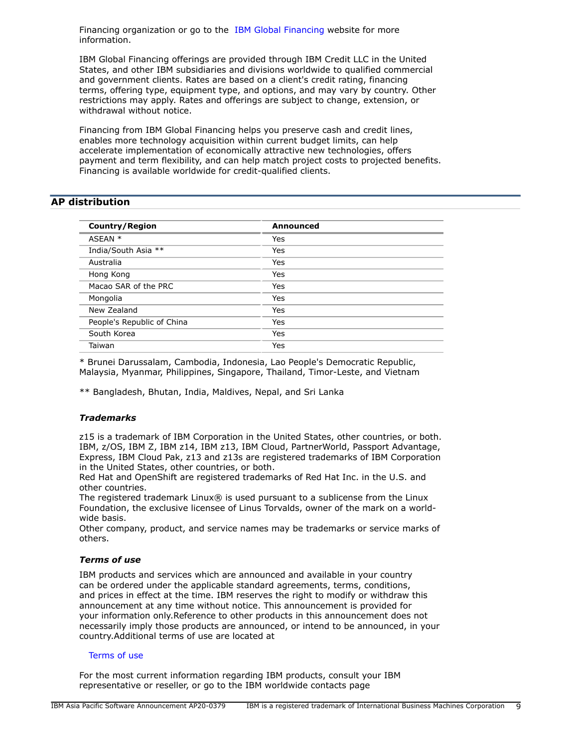Financing organization or go to the [IBM Global Financing](http://www.ibm.com/financing) website for more information.

IBM Global Financing offerings are provided through IBM Credit LLC in the United States, and other IBM subsidiaries and divisions worldwide to qualified commercial and government clients. Rates are based on a client's credit rating, financing terms, offering type, equipment type, and options, and may vary by country. Other restrictions may apply. Rates and offerings are subject to change, extension, or withdrawal without notice.

Financing from IBM Global Financing helps you preserve cash and credit lines, enables more technology acquisition within current budget limits, can help accelerate implementation of economically attractive new technologies, offers payment and term flexibility, and can help match project costs to projected benefits. Financing is available worldwide for credit-qualified clients.

## <span id="page-8-0"></span>**AP distribution**

| <b>Country/Region</b>      | Announced |
|----------------------------|-----------|
| ASEAN *                    | Yes       |
| India/South Asia **        | Yes       |
| Australia                  | Yes       |
| Hong Kong                  | Yes       |
| Macao SAR of the PRC       | Yes       |
| Mongolia                   | Yes       |
| New Zealand                | Yes       |
| People's Republic of China | Yes       |
| South Korea                | Yes       |
| Taiwan                     | Yes       |

\* Brunei Darussalam, Cambodia, Indonesia, Lao People's Democratic Republic, Malaysia, Myanmar, Philippines, Singapore, Thailand, Timor-Leste, and Vietnam

\*\* Bangladesh, Bhutan, India, Maldives, Nepal, and Sri Lanka

## *Trademarks*

z15 is a trademark of IBM Corporation in the United States, other countries, or both. IBM, z/OS, IBM Z, IBM z14, IBM z13, IBM Cloud, PartnerWorld, Passport Advantage, Express, IBM Cloud Pak, z13 and z13s are registered trademarks of IBM Corporation in the United States, other countries, or both.

Red Hat and OpenShift are registered trademarks of Red Hat Inc. in the U.S. and other countries.

The registered trademark Linux® is used pursuant to a sublicense from the Linux Foundation, the exclusive licensee of Linus Torvalds, owner of the mark on a worldwide basis.

Other company, product, and service names may be trademarks or service marks of others.

## *Terms of use*

IBM products and services which are announced and available in your country can be ordered under the applicable standard agreements, terms, conditions, and prices in effect at the time. IBM reserves the right to modify or withdraw this announcement at any time without notice. This announcement is provided for your information only.Reference to other products in this announcement does not necessarily imply those products are announced, or intend to be announced, in your country.Additional terms of use are located at

#### [Terms of use](http://www.ibm.com/legal/us/en/)

For the most current information regarding IBM products, consult your IBM representative or reseller, or go to the IBM worldwide contacts page